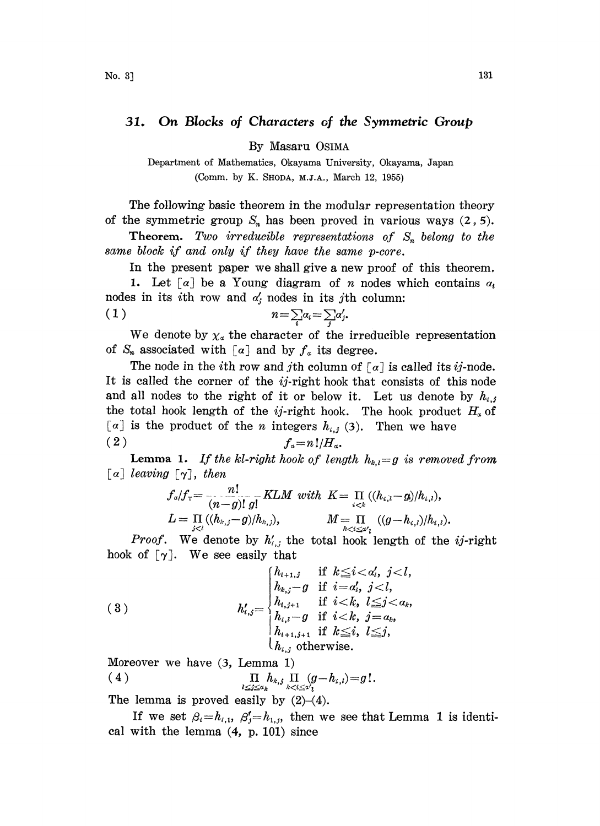## 31. On Blocks of Characters of the Symmetric Group

By Masaru OSIMA

Department of Mathematics, Okayama University, Okayama, Japan (Comm. by K. SHODA, M.J.A., March 12, 1955)

The following basic theorem in the modular representation theory of the symmetric group  $S_n$  has been proved in various ways  $(2, 5)$ .

**Theorem.** Two irreducible representations of  $S_n$  belong to the same block if and only if they have the same p-core.

In the present paper we shall give a new proof of this theorem.

1. Let  $[a]$  be a Young diagram of *n* nodes which contains  $a_i$ nodes in its *i*th row and  $\alpha'$  nodes in its *j*th column:

$$
(1) \t\t n=\sum_{i}a_{i}=\sum_{j}a'_{j}.
$$

We denote by  $\chi_a$  the character of the irreducible representation of  $S_n$  associated with  $\lceil \alpha \rceil$  and by  $f_a$  its degree.

The node in the *i*th row and *j*th column of  $\lceil \alpha \rceil$  is called its *ij*-node. It is called the corner of the  $i j$ -right hook that consists of this node and all nodes to the right of it or below it. Let us denote by  $h_{i,j}$ the total hook length of the *ij*-right hook. The hook product  $H<sub>a</sub>$  of  $\lceil \alpha \rceil$  is the product of the *n* integers  $h_{i,j}$  (3). Then we have (2)  $f_a=n!/H_a$ .

**Lemma 1.** If the kl-right hook of length  $h_{k,l}=g$  is removed from  $\lceil a \rceil$  leaving  $\lceil \gamma \rceil$ , then

$$
f_a/f_{\tau} = \frac{n!}{(n-g)! g!} KLM \ with \ K = \prod_{i < k} (\langle h_{i,i} - g \rangle / h_{i,i}),
$$
\n
$$
L = \prod_{j < l} (\langle h_{k,j} - g \rangle / h_{k,j}), \qquad M = \prod_{k < i \leq a'} ((g - h_{i,i}) / h_{i,i}).
$$

*Proof.* We denote by  $h'_{i,j}$  the total hook length of the *ij*-right hook of  $[\gamma]$ . We see easily that

(3) 
$$
h'_{i,j} = \begin{cases} h_{i+1,j} & \text{if } k \leq i < a'_i, j < l, \\ h_{k,j} - g & \text{if } i = a'_i, j < l, \\ h_{i,j+1} & \text{if } i < k, l \leq j < a_k, \\ h_{i,l} - g & \text{if } i < k, j = a_k, \\ h_{i+1,j+1} & \text{if } k \leq i, l \leq j, \\ h_{i,j} & \text{otherwise.} \end{cases}
$$

Moreover we have (3, Lemma 1)

$$
(4) \qquad \qquad \Pi_{\substack{l\leq j\leq a_k}}h_{k,j}\prod_{k
$$

The lemma is proved easily by  $(2)-(4)$ .

If we set  $\beta_i=h_{i,1}, \beta'_j=h_{1,j}$ , then we see that Lemma 1 is identical with the lemma (4, p. 101) since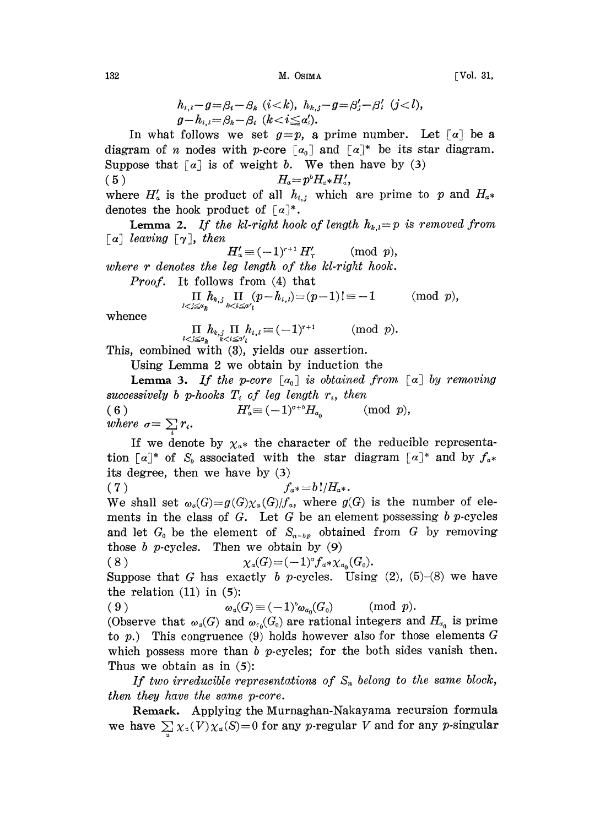$132$  M. Osima  $M$ . Osima  $[Vol. 31,$ 

$$
h_{i,i} - g = \beta_i - \beta_k \ \ (i < k), \ \ h_{k,j} - g = \beta'_j - \beta'_i \ \ (j < l), \ \ g - h_{i,i} = \beta_k - \beta_i \ \ (k < i \leq a'_i).
$$

 $g-h_{i,i} = \beta_i - \beta_i$   $(k < i \leq \alpha'_i)$ .<br>In what follows we set  $g=p$ , a prime number. Let  $\lceil \alpha \rceil$  be a diagram of *n* nodes with *p*-core  $[a_0]$  and  $[a]^*$  be its star diagram. Suppose that  $[a]$  is of weight b. We then have by (3)

(5)  $H_a=p^bH_a*H'_a,$ 

where  $H'_{\alpha}$  is the product of all  $h_{i,j}$  which are prime to p and  $H_{\alpha^*}$ denotes the hook product of  $\lceil \alpha \rceil^*$ .

**Lemma 2.** If the kl-right hook of length  $h_{k,l}=p$  is removed from  $[a]$  leaving  $[\gamma]$ , then  $H'_a$ 

$$
I'_a \equiv (-1)^{r+1} H'_r \qquad \pmod{p},
$$

where r denotes the leg length of the kl-right hook.

Proof. It follows from (4) that

$$
\underset{l< j\leq a_k}{\Pi}\underset{h, j}{h_{k,j}}\underset{k< i\leq a'_{l}}{\Pi}(p-h_{i,l})\!=\!(p-1)!\equiv -1\qquad \quad (\mathrm{mod}\ \ p),
$$

whence

 $\mathop{\Pi}\limits_{\scriptscriptstyle l< j\leq a_k}\!\!\!\!\!\!\!\!\!\!h_{\scriptscriptstyle k,j}\mathop{\Pi}\limits_{\scriptscriptstyle k< i\leq 2'_{l}}\!\!\!\!\!\!\!\!\!\!h_{\scriptscriptstyle i,i}\equiv (-1)^{r+1}\qquad\quad (\mathrm{mod}\ \ p).$ 

This, combined with (3), yields our assertion.

Using Lemma 2 we obtain by induction the

**Lemma 3.** If the p-core  $[a_0]$  is obtained from  $[a]$  by removing successively b p-hooks  $T_i$  of leg length  $r_i$ , then<br>
(6)  $H'_a = (-1)^{a+b}H_{a_0}$  (mod p),<br>
where  $\tau = \sum r$ where  $\sigma = \sum_i r_i$ .

If we denote by  $\chi_{\alpha^*}$  the character of the reducible representation  $[a]^*$  of  $S_b$  associated with the star diagram  $[a]^*$  and by  $f_{a^*}$ its degree, then we have by  $(3)$ 

(7)  $f_{a^*} = b!/H_{a^*}.$ 

We shall set  $\omega_a(G)=g(G)\chi_a(G)/f_a$ , where  $g(G)$  is the number of elements in the class of  $G$ . Let  $G$  be an element possessing  $b$  p-cycles and let  $G_0$  be the element of  $S_{n-b}$  obtained from G by removing those b p-cycles. Then we obtain by  $(9)$ 

$$
(8) \t\t\t\t\t\chi_a(G) = (-1)^{\sigma} f_a * \chi_{a_0}(G_0).
$$

Suppose that G has exactly b p-cycles. Using  $(2)$ ,  $(5)-(8)$  we have the relation  $(11)$  in  $(5)$ :

( 9 )  $\omega_a(G) \equiv (-1)^b \omega_{\alpha_0}(G_0)$  (mod p).

(Observe that  $\omega_a(G)$  and  $\omega_{\gamma_a}(G_0)$  are rational integers and  $H_{\alpha_0}$  is prime to p.) This congruence (9) holds however also for those elements  $G$ which possess more than  $b$  p-cycles; for the both sides vanish then. Thus we obtain as in  $(5)$ :

If two irreducible representations of  $S_n$  belong to the same block, then they have the same p-core.

Remark. Applying the Murnaghan-Nakayama recursion formula we have  $\sum_{\alpha} \chi_{\alpha}(V)\chi_{\alpha}(S)=0$  for any p-regular V and for any p-singular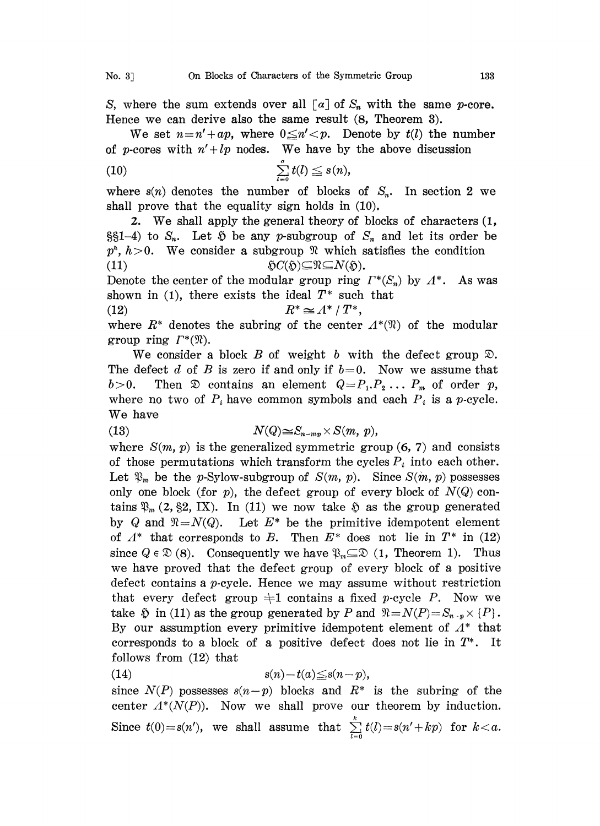S, where the sum extends over all  $\lceil a \rceil$  of  $S_n$  with the same p-core. Hence we can derive also the same result (8, Theorem 3).

We set  $n=n'+ap$ , where  $0\leq n'. Denote by  $t(l)$  the number$ of p-cores with  $n'+lp$  nodes. We have by the above discussion

$$
\text{(10)} \quad \sum_{l=0}^{\sigma} t(l) \leq s(n),
$$

where  $s(n)$  denotes the number of blocks of  $S_n$ . In section 2 we shall prove that the equality sign holds in (10),

2. We shall apply the general theory of blocks of characters (1,  $\S_{n-4}$  to  $S_n$ . Let  $\tilde{D}$  be any p-subgroup of  $S_n$  and let its order be  $p^{\lambda}, h>0$ . We consider a subgroup  $\mathcal{R}$  which satisfies the condition (11)  $\mathfrak{H}C(\mathfrak{H})\subseteq \mathfrak{N}\subseteq N(\mathfrak{H}).$ 

Denote the center of the modular group ring  $\Gamma^*(S_n)$  by  $\Lambda^*$ . As was shown in (1), there exists the ideal  $T^*$  such that

$$
(12) \t\t R^* \simeq A^* / T^*,
$$

(12)  $R^* \cong A^* / T^*$ ,<br>where  $R^*$  denotes the subring of the center  $A^*(\mathfrak{N})$  of the modular group ring  $\Gamma^*(\mathfrak{N})$ .

We consider a block B of weight b with the defect group  $\mathcal{D}$ . The defect d of B is zero if and only if  $b=0$ . Now we assume that  $b>0$ . Then  $\mathfrak D$  contains an element  $Q=P_1,P_2\ldots P_m$  of order p, where no two of  $P_i$  have common symbols and each  $P_i$  is a p-cycle. We have

(13) 
$$
N(Q) \leq S_{n-mp} \times S(m, p),
$$

where  $S(m, p)$  is the generalized symmetric group  $(6, 7)$  and consists of those permutations which transform the cycles  $P_i$  into each other. Let  $\mathfrak{P}_m$  be the p-Sylow-subgroup of  $S(m, p)$ . Since  $S(m, p)$  possesses only one block (for p), the defect group of every block of  $N(Q)$  contains  $\mathfrak{P}_m$  (2, §2, IX). In (11) we now take  $\mathfrak{H}$  as the group generated by Q and  $\Re=N(Q)$ . Let  $E^*$  be the primitive idempotent element of  $\Lambda^*$  that corresponds to B. Then  $E^*$  does not lie in  $T^*$  in (12) since  $Q \in \mathcal{D}(8)$ . Consequently we have  $\mathcal{D}_{m} \subseteq \mathcal{D}(1, \text{ Theorem 1}).$  Thus we have proved that the defect group of every block of a positive defect contains a p-cycle. Hence we may assume without restriction that every defect group  $\pm 1$  contains a fixed p-cycle P. Now we take  $\tilde{p}$  in (11) as the group generated by P and  $\Re N = N(P) = S_{n-p} \times \{P\}.$ By our assumption every primitive idempotent element of  $\Lambda^*$  that corresponds to a block of a positive defect does not lie in  $T^*$ . It follows from (12) that

$$
(14) \t s(n)-t(a) \leq s(n-p),
$$

since  $N(P)$  possesses  $s(n-p)$  blocks and  $R^*$  is the subring of the center  $\Lambda^*(N(P))$ . Now we shall prove our theorem by induction. Since  $t(0) = s(n')$ , we shall assume that  $\sum_{l=0}^{n} t(l) = s(n' + kp)$  for  $k < a$ .